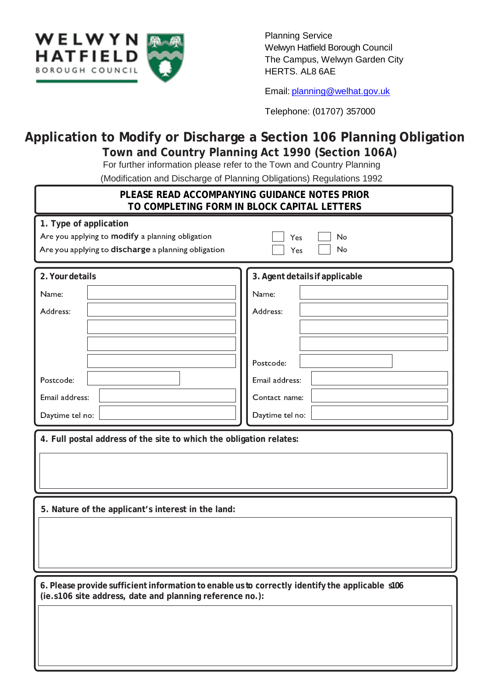

Planning Service Welwyn Hatfield Borough Council The Campus, Welwyn Garden City HERTS. AL8 6AE

Email: [planning@welhat.gov.uk](mailto:planning@welhat.gov.uk)

Telephone: (01707) 357000

## **Application to Modify or Discharge a Section 106 Planning Obligation Town and Country Planning Act 1990 (Section 106A)**

For further information please refer to the Town and Country Planning

(Modification and Discharge of Planning Obligations) Regulations 1992

| modification and Bloomargo of Frammig Obligationo, Rogalationo Tooz<br>PLEASE READ ACCOMPANYING GUIDANCE NOTES PRIOR<br>TO COMPLETING FORM IN BLOCK CAPITAL LETTERS |                                                                                                                        |  |  |  |  |  |
|---------------------------------------------------------------------------------------------------------------------------------------------------------------------|------------------------------------------------------------------------------------------------------------------------|--|--|--|--|--|
| 1. Type of application<br>Are you applying to modify a planning obligation<br>Are you applying to discharge a planning obligation                                   | No<br>Yes<br>No<br>Yes                                                                                                 |  |  |  |  |  |
| 2. Your details<br>Name:<br>Address:<br>Postcode:<br>Email address:<br>Daytime tel no:<br>4. Full postal address of the site to which the obligation relates:       | 3. Agent details if applicable<br>Name:<br>Address:<br>Postcode:<br>Email address:<br>Contact name:<br>Daytime tel no: |  |  |  |  |  |
|                                                                                                                                                                     |                                                                                                                        |  |  |  |  |  |
| 5. Nature of the applicant's interest in the land:                                                                                                                  |                                                                                                                        |  |  |  |  |  |
| 6. Please provide sufficient information to enable us to correctly identify the applicable s106<br>(ie.s106 site address, date and planning reference no.):         |                                                                                                                        |  |  |  |  |  |